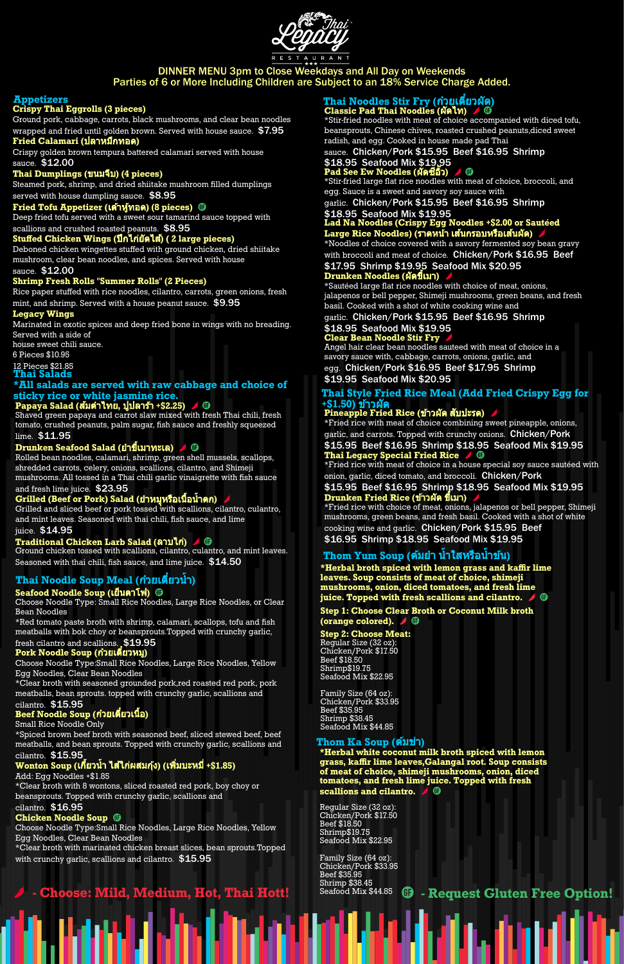

# DINNER MENU 3pm to Close Weekdays and All Day on Weekends Parties of 6 or More Including Children are Subject to an 18% Service Charge Added.

Ground pork, cabbage, carrots, black mushrooms, and clear bean noodles wrapped and fried until golden brown. Served with house sauce.  $\$7.95$ 

# **Appetizers**

## **Crispy Thai Eggrolls (3 pieces)**

Steamed pork, shrimp, and dried shiitake mushroom filled dumplings served with house dumpling sauce.  $$8.95$ 

# $\bf{F}$ ried  $\bf{Tofu}$  Appetizer (เต้าหู้ทอด) (8 pieces)  $\bf{G}$

#### **Fried Calamari (**ปลาหมึกทอด มึ **)**

Crispy golden brown tempura battered calamari served with house sauce. \$12.00

### **Thai Dumplings (**ขนมจีบจี **) (4 pieces)**

Deep fried tofu served with a sweet sour tamarind sauce topped with

scallions and crushed roasted peanuts. \$8.95

### **Stuffed Chicken Wings (**ปีกไก่ยัก่ ดยั ไส้**)**ส้**( 2 large pieces)**

Deboned chicken wingettes stuffed with ground chicken, dried shiitake mushroom, clear bean noodles, and spices. Served with house

#### sauce. \$12.00

#### **Shrimp Fresh Rolls "Summer Rolls" (2 Pieces)**

Rice paper stuffed with rice noodles, cilantro, carrots, green onions, fresh mint, and shrimp. Served with a house peanut sauce. \$9.95

#### **Legacy Wings**

Marinated in exotic spices and deep fried bone in wings with no breading. Served with a side of

house sweet chili sauce.

# 6 Pieces \$10.95

#### 12 Pieces \$21.85 **Thai Salads**

# **\*All salads are served with raw cabbage and choice of sticky rice or white jasmine rice.**

# **Papaya Salad (**ส้มส้ตำ ไทย**,** ปูปลา ปู ร้าร้ **+\$2.25)**

Shaved green papaya and carrot slaw mixed with fresh Thai chili, fresh tomato, crushed peanuts, palm sugar, fish sauce and freshly squeezed

### lime. \$11.95

# **Drunken Seafood Salad (**ยำ ขี้เมา ขี้ ทะเล**)**

\*Clear broth with marinated chicken breast slices, bean sprouts.Topped with crunchy garlic, scallions and cilantro.  $$15.95$ 

Rolled bean noodles, calamari, shrimp, green shell mussels, scallops, shredded carrots, celery, onions, scallions, cilantro, and Shimeji mushrooms. All tossed in a Thai chili garlic vinaigrette with fish sauce and fresh lime juice. \$23.95

# **Grilled (Beef or Pork) Salad (**ยำ หมูุหมูุ รือเ รื นื้อ นื้ น้ำ ตก**)**

#### \$18.95 Seafood Mix \$19,95 **Pad See Ew Noodles (**ผัดซีอิ๊ซีอิ๊วอิ๊**)**

Grilled and sliced beef or pork tossed with scallions, cilantro, culantro, and mint leaves. Seasoned with thai chili, fish sauce, and lime juice. \$14.95

# **Traditional Chicken Larb Salad (**ลาบไก่**)**ก่

\*Noodles of choice covered with a savory fermented soy bean gravy with broccoli and meat of choice. Chicken/Pork \$16.95 Beef

Ground chicken tossed with scallions, cilantro, culantro, and mint leaves. Seasoned with thai chili, fish sauce, and lime juice. \$14.50

# **Thai Noodle Soup Meal (**ก๋วก๋ ยเตี๋ยวตี๋ นํ้า**)**

### **Seafood Noodle Soup (**เย็นตาโฟ**)**

Choose Noodle Type: Small Rice Noodles, Large Rice Noodles, or Clear Bean Noodles

# **Thai Style Fried Rice Meal (Add Fried Crispy Egg for** +\$1.50) ข้าวผัด

\*Red tomato paste broth with shrimp, calamari, scallops, tofu and fish meatballs with bok choy or beansprouts.Topped with crunchy garlic,

# fresh cilantro and scallions. \$19.95

**Pork Noodle Soup (ก๋วยเตี้ยวหมู)** 

Choose Noodle Type:Small Rice Noodles, Large Rice Noodles, Yellow Egg Noodles, Clear Bean Noodles

\*Clear broth with seasoned grounded pork,red roasted red pork, pork meatballs, bean sprouts. topped with crunchy garlic, scallions and cilantro. \$15.95

# **Beef Noodle Soup (**ก๋วยเ ก๋ ตี๋ยวเ ตี๋ นื้อ นื้ **)**

Small Rice Noodle Only

\*Spiced brown beef broth with seasoned beef, sliced stewed beef, beef meatballs, and bean sprouts. Topped with crunchy garlic, scallions and cilantro. \$15.95

# **Wonton Soup (**เกี้ยว กี้ น้ำ ไส้ไส้ก่ผสม ก่ กุ้งกุ้ **) (**เพิ่มบะห พิ่ มี่ **+\$1.85)**

Add: Egg Noodles +\$1.85

Family Size (64 oz): Chicken/Pork \$33.95 Beef \$35.95 Shrimp \$38.45<br>Seafood Mix \$44.85

An Ann ail Ma

\*Clear broth with 8 wontons, sliced roasted red pork, boy choy or beansprouts. Topped with crunchy garlic, scallions and cilantro. \$16.95

### **Chicken Noodle Soup**

Choose Noodle Type:Small Rice Noodles, Large Rice Noodles, Yellow Egg Noodles, Clear Bean Noodles

### **Thai Noodles Stir Fry (**ก๋วยเ ก๋ ตี๋ยวตี๋ ผัด**) Classic Pad Thai Noodles (**ผัดไท**)**

\*Stir-fried noodles with meat of choice accompanied with diced tofu, beansprouts, Chinese chives, roasted crushed peanuts,diced sweet radish, and egg. Cooked in house made pad Thai

sauce. Chicken/Pork \$15.95 Beef \$16.95 Shrimp

\*Stir-fried large flat rice noodles with meat of choice, broccoli, and egg. Sauce is a sweet and savory soy sauce with

garlic. Chicken/Pork \$15.95 Beef \$16.95 Shrimp

## \$18.95 Seafood Mix \$19.95

# **Lad Na Noodles (Crispy Egg Noodles +\$2.00 or Sautéed Large Rice Noodles) (**ราดหน้าน้ เส้นกรอบห ส้ รือเ รื ส้นส้ผัด**)**

### \$17.95 Shrimp \$19.95 Seafood Mix \$20.95 **Drunken Noodles (**ผัดขี้เมา ขี้ **)**

\*Sautéed large flat rice noodles with choice of meat, onions, jalapenos or bell pepper, Shimeji mushrooms, green beans, and fresh basil. Cooked with a shot of white cooking wine and

garlic. Chicken/Pork \$15.95 Beef \$16.95 Shrimp

### \$18.95 Seafood Mix \$19.95 **Clear Bean Noodle Stir Fry**

Angel hair clear bean noodles sauteed with meat of choice in a savory sauce with, cabbage, carrots, onions, garlic, and egg. Chicken/Pork \$16.95 Beef \$17.95 Shrimp

\$19.95 Seafood Mix \$20.95

# **Pineapple Fried Rice (**ข้าวข้ ผัด สับสั ปะรด**)**

\*Fried rice with meat of choice combining sweet pineapple, onions, garlic, and carrots. Topped with crunchy onions. Chicken/Pork \$15.95 Beef \$16.95 Shrimp \$18.95 Seafood Mix \$19.95 **Thai Legacy Special Fried Rice**

\*Fried rice with meat of choice in a house special soy sauce sautéed with onion, garlic, diced tomato, and broccoli. Chicken/Pork

\$15.95 Beef \$16.95 Shrimp \$18.95 Seafood Mix \$19.95 **Drunken Fried Rice (**ข้าวข้ ผัด ขี้เมา ขี้ **)**

\*Fried rice with choice of meat, onions, jalapenos or bell pepper, Shimeji mushrooms, green beans, and fresh basil. Cooked with a shot of white cooking wine and garlic. Chicken/Pork \$15.95 Beef \$16.95 Shrimp \$18.95 Seafood Mix \$19.95

# **Thom Yum Soup (**ต้มต้ ยำ น้ำ ใสหรือรื น้ำ ข้นข้**)**

**\*Herbal broth spiced with lemon grass and kaffir lime leaves. Soup consists of meat of choice, shimeji mushrooms, onion, diced tomatoes, and fresh lime juice. Topped with fresh scallions and cilantro.**

**Step 1: Choose Clear Broth or Coconut Milk broth (orange colored).**

### **Step 2: Choose Meat:**

Regular Size (32 oz): Chicken/Pork \$17.50 Beef \$18.50 Shrimp\$19.75 Seafood Mix \$22.95

Family Size (64 oz): Chicken/Pork \$33.95

Beef \$35.95 Shrimp \$38.45 Seafood Mix \$44.85

# **Thom Ka Soup (ตัมข่า)**

**\*Herbal white coconut milk broth spiced with lemon grass, kaffir lime leaves,Galangal root. Soup consists of meat of choice, shimeji mushrooms, onion, diced tomatoes, and fresh lime juice. Topped with fresh scallions and cilantro.**

Regular Size (32 oz): Chicken/Pork \$17.50 Beef \$18.50 Shrimp\$19.75 Seafood Mix \$22.95

# Seafood Mix \$44.85 **- Choose: Mild, Medium, Hot, Thai Hott! - Request Gluten Free Option!**

e ang sa kalang ang mga kalang ng mga kalang ng mga kalang ng mga kalang ng mga kalang ng mga kalang ng mga ka